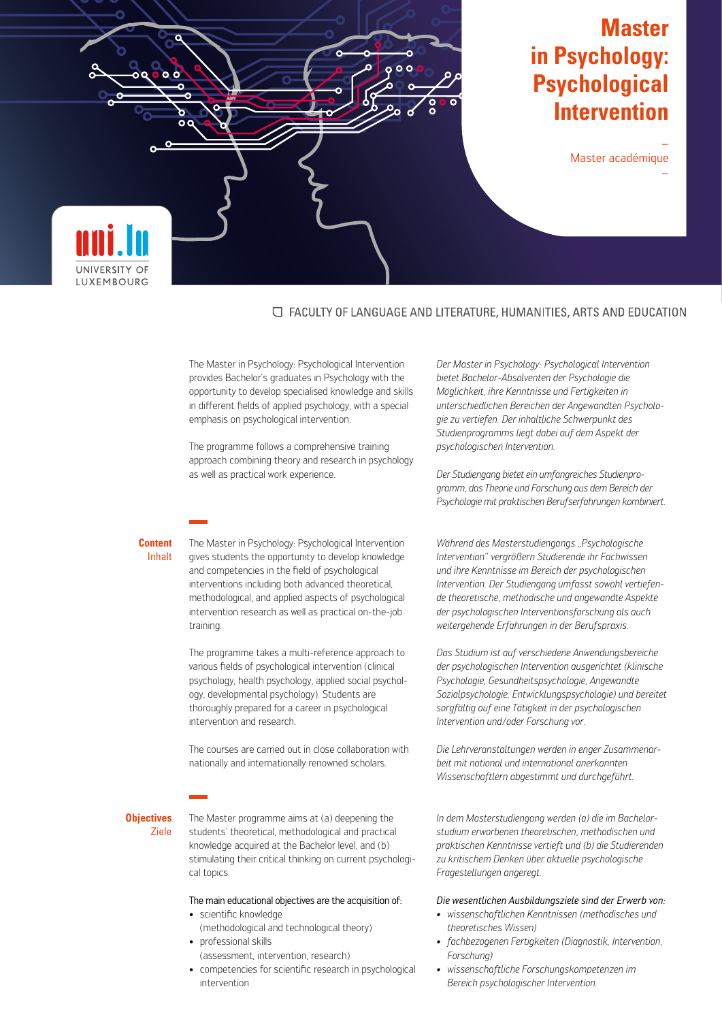

# **Master in Psychology: Psychological Intervention**

– Master académique

–

# □ FACULTY OF LANGUAGE AND LITERATURE, HUMANITIES, ARTS AND EDUCATION

The Master in Psychology: Psychological Intervention provides Bachelor's graduates in Psychology with the opportunity to develop specialised knowledge and skills in different fields of applied psychology, with a special emphasis on psychological intervention.

The programme follows a comprehensive training approach combining theory and research in psychology as well as practical work experience.

#### **Content** Inhalt

The Master in Psychology: Psychological Intervention gives students the opportunity to develop knowledge and competencies in the field of psychological interventions including both advanced theoretical, methodological, and applied aspects of psychological intervention research as well as practical on-the-job training.

The programme takes a multi-reference approach to various fields of psychological intervention (clinical psychology, health psychology, applied social psychology, developmental psychology). Students are thoroughly prepared for a career in psychological intervention and research.

The courses are carried out in close collaboration with nationally and internationally renowned scholars.

#### **Objectives** Ziele

The Master programme aims at (a) deepening the students' theoretical, methodological and practical knowledge acquired at the Bachelor level, and (b) stimulating their critical thinking on current psychological topics.

## The main educational objectives are the acquisition of:

- scientific knowledge (methodological and technological theory)
- professional skills
- (assessment, intervention, research)
- competencies for scientific research in psychological intervention

*Der Master in Psychology: Psychological Intervention bietet Bachelor-Absolventen der Psychologie die Möglichkeit, ihre Kenntnisse und Fertigkeiten in unterschiedlichen Bereichen der Angewandten Psychologie zu vertiefen. Der inhaltliche Schwerpunkt des Studienprogramms liegt dabei auf dem Aspekt der psychologischen Intervention.*

*Der Studiengang bietet ein umfangreiches Studienprogramm, das Theorie und Forschung aus dem Bereich der Psychologie mit praktischen Berufserfahrungen kombiniert.*

*Während des Masterstudiengangs "Psychologische Intervention" vergrößern Studierende ihr Fachwissen und ihre Kenntnisse im Bereich der psychologischen Intervention. Der Studiengang umfasst sowohl vertiefende theoretische, methodische und angewandte Aspekte der psychologischen Interventionsforschung als auch weitergehende Erfahrungen in der Berufspraxis.*

*Das Studium ist auf verschiedene Anwendungsbereiche der psychologischen Intervention ausgerichtet (klinische Psychologie, Gesundheitspsychologie, Angewandte Sozialpsychologie, Entwicklungspsychologie) und bereitet sorgfältig auf eine Tätigkeit in der psychologischen Intervention und/oder Forschung vor.*

*Die Lehrveranstaltungen werden in enger Zusammenarbeit mit national und international anerkannten Wissenschaftlern abgestimmt und durchgeführt.*

*In dem Masterstudiengang werden (a) die im Bachelorstudium erworbenen theoretischen, methodischen und praktischen Kenntnisse vertieft und (b) die Studierenden zu kritischem Denken über aktuelle psychologische Fragestellungen angeregt.*

# *Die wesentlichen Ausbildungsziele sind der Erwerb von:*

- *• wissenschaftlichen Kenntnissen (methodisches und theoretisches Wissen)*
- *• fachbezogenen Fertigkeiten (Diagnostik, Intervention, Forschung)*
- *• wissenschaftliche Forschungskompetenzen im Bereich psychologischer Intervention.*